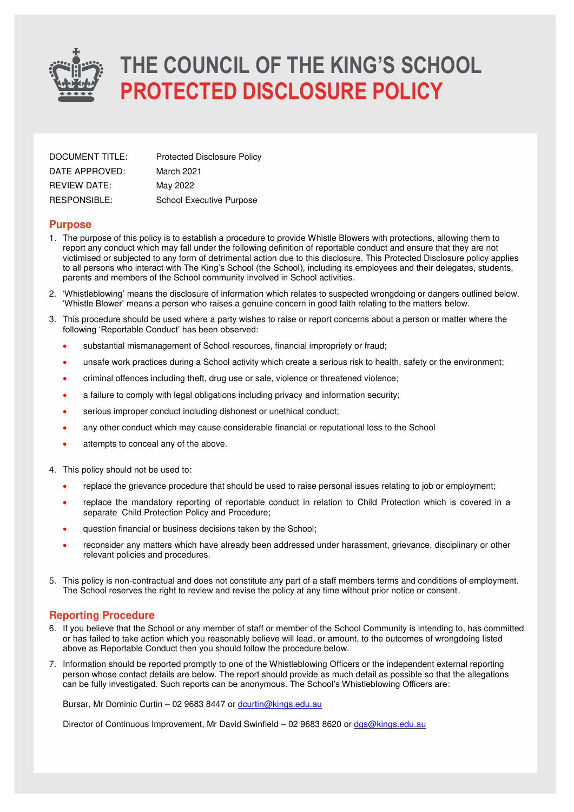

| DOCUMENT TITLE:     | <b>Protected Disclosure Policy</b> |
|---------------------|------------------------------------|
| DATE APPROVED:      | March 2021                         |
| <b>REVIEW DATE:</b> | May 2022                           |
| RESPONSIBLE:        | School Executive Purpose           |

#### **Purpose**

- 1. The purpose of this policy is to establish a procedure to provide Whistle Blowers with protections, allowing them to report any conduct which may fall under the following definition of reportable conduct and ensure that they are not victimised or subjected to any form of detrimental action due to this disclosure. This Protected Disclosure policy applies to all persons who interact with The King's School (the School), including its employees and their delegates, students, parents and members of the School community involved in School activities.
- 2. 'Whistleblowing' means the disclosure of information which relates to suspected wrongdoing or dangers outlined below. 'Whistle Blower' means a person who raises a genuine concern in good faith relating to the matters below.
- 3. This procedure should be used where a party wishes to raise or report concerns about a person or matter where the following 'Reportable Conduct' has been observed:
	- substantial mismanagement of School resources, financial impropriety or fraud;
	- unsafe work practices during a School activity which create a serious risk to health, safety or the environment;
	- criminal offences including theft, drug use or sale, violence or threatened violence;
	- a failure to comply with legal obligations including privacy and information security;
	- serious improper conduct including dishonest or unethical conduct;
	- any other conduct which may cause considerable financial or reputational loss to the School
	- attempts to conceal any of the above.
- 4. This policy should not be used to:
	- replace the grievance procedure that should be used to raise personal issues relating to job or employment;
	- replace the mandatory reporting of reportable conduct in relation to Child Protection which is covered in a separate Child Protection Policy and Procedure;
	- question financial or business decisions taken by the School;
	- reconsider any matters which have already been addressed under harassment, grievance, disciplinary or other relevant policies and procedures.
- 5. This policy is non-contractual and does not constitute any part of a staff members terms and conditions of employment. The School reserves the right to review and revise the policy at any time without prior notice or consent.

#### **Reporting Procedure**

- 6. If you believe that the School or any member of staff or member of the School Community is intending to, has committed or has failed to take action which you reasonably believe will lead, or amount, to the outcomes of wrongdoing listed above as Reportable Conduct then you should follow the procedure below.
- 7. Information should be reported promptly to one of the Whistleblowing Officers or the independent external reporting person whose contact details are below. The report should provide as much detail as possible so that the allegations can be fully investigated. Such reports can be anonymous. The School's Whistleblowing Officers are:

Bursar. Mr Dominic Curtin - 02 9683 8447 or [dcurtin@kings.edu.au](mailto:dcurtin@kings.edu.au)

Director of Continuous Improvement, Mr David Swinfield - 02 9683 8620 or [dgs@kings.edu.au](mailto:dgs@kings.edu.au)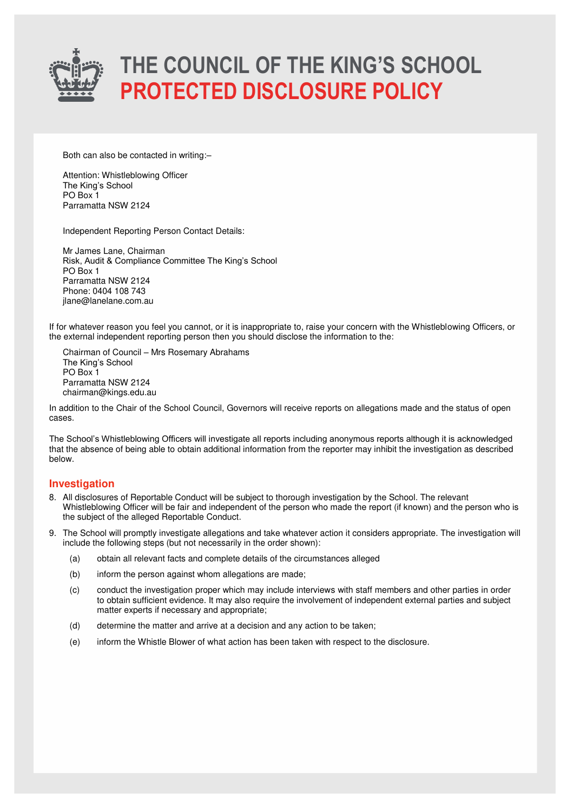

Both can also be contacted in writing:–

Attention: Whistleblowing Officer The King's School PO Box 1 Parramatta NSW 2124

Independent Reporting Person Contact Details:

Mr James Lane, Chairman Risk, Audit & Compliance Committee The King's School PO Box 1 Parramatta NSW 2124 Phone: 0404 108 743 jlane@lanelane.com.au

If for whatever reason you feel you cannot, or it is inappropriate to, raise your concern with the Whistleblowing Officers, or the external independent reporting person then you should disclose the information to the:

Chairman of Council – Mrs Rosemary Abrahams The King's School PO Box 1 Parramatta NSW 2124 chairman@kings.edu.au

In addition to the Chair of the School Council, Governors will receive reports on allegations made and the status of open cases.

The School's Whistleblowing Officers will investigate all reports including anonymous reports although it is acknowledged that the absence of being able to obtain additional information from the reporter may inhibit the investigation as described below.

### **Investigation**

- 8. All disclosures of Reportable Conduct will be subject to thorough investigation by the School. The relevant Whistleblowing Officer will be fair and independent of the person who made the report (if known) and the person who is the subject of the alleged Reportable Conduct.
- 9. The School will promptly investigate allegations and take whatever action it considers appropriate. The investigation will include the following steps (but not necessarily in the order shown):
	- (a) obtain all relevant facts and complete details of the circumstances alleged
	- (b) inform the person against whom allegations are made;
	- (c) conduct the investigation proper which may include interviews with staff members and other parties in order to obtain sufficient evidence. It may also require the involvement of independent external parties and subject matter experts if necessary and appropriate;
	- (d) determine the matter and arrive at a decision and any action to be taken;
	- (e) inform the Whistle Blower of what action has been taken with respect to the disclosure.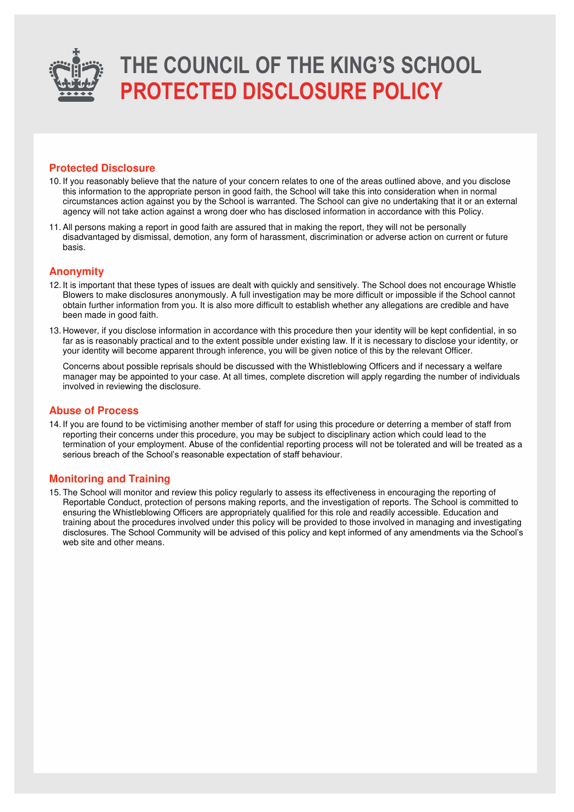

#### **Protected Disclosure**

- 10. If you reasonably believe that the nature of your concern relates to one of the areas outlined above, and you disclose this information to the appropriate person in good faith, the School will take this into consideration when in normal circumstances action against you by the School is warranted. The School can give no undertaking that it or an external agency will not take action against a wrong doer who has disclosed information in accordance with this Policy.
- 11. All persons making a report in good faith are assured that in making the report, they will not be personally disadvantaged by dismissal, demotion, any form of harassment, discrimination or adverse action on current or future basis.

#### **Anonymity**

- 12. It is important that these types of issues are dealt with quickly and sensitively. The School does not encourage Whistle Blowers to make disclosures anonymously. A full investigation may be more difficult or impossible if the School cannot obtain further information from you. It is also more difficult to establish whether any allegations are credible and have been made in good faith.
- 13. However, if you disclose information in accordance with this procedure then your identity will be kept confidential, in so far as is reasonably practical and to the extent possible under existing law. If it is necessary to disclose your identity, or your identity will become apparent through inference, you will be given notice of this by the relevant Officer.

Concerns about possible reprisals should be discussed with the Whistleblowing Officers and if necessary a welfare manager may be appointed to your case. At all times, complete discretion will apply regarding the number of individuals involved in reviewing the disclosure.

#### **Abuse of Process**

14. If you are found to be victimising another member of staff for using this procedure or deterring a member of staff from reporting their concerns under this procedure, you may be subject to disciplinary action which could lead to the termination of your employment. Abuse of the confidential reporting process will not be tolerated and will be treated as a serious breach of the School's reasonable expectation of staff behaviour.

#### **Monitoring and Training**

15. The School will monitor and review this policy regularly to assess its effectiveness in encouraging the reporting of Reportable Conduct, protection of persons making reports, and the investigation of reports. The School is committed to ensuring the Whistleblowing Officers are appropriately qualified for this role and readily accessible. Education and training about the procedures involved under this policy will be provided to those involved in managing and investigating disclosures. The School Community will be advised of this policy and kept informed of any amendments via the School's web site and other means.